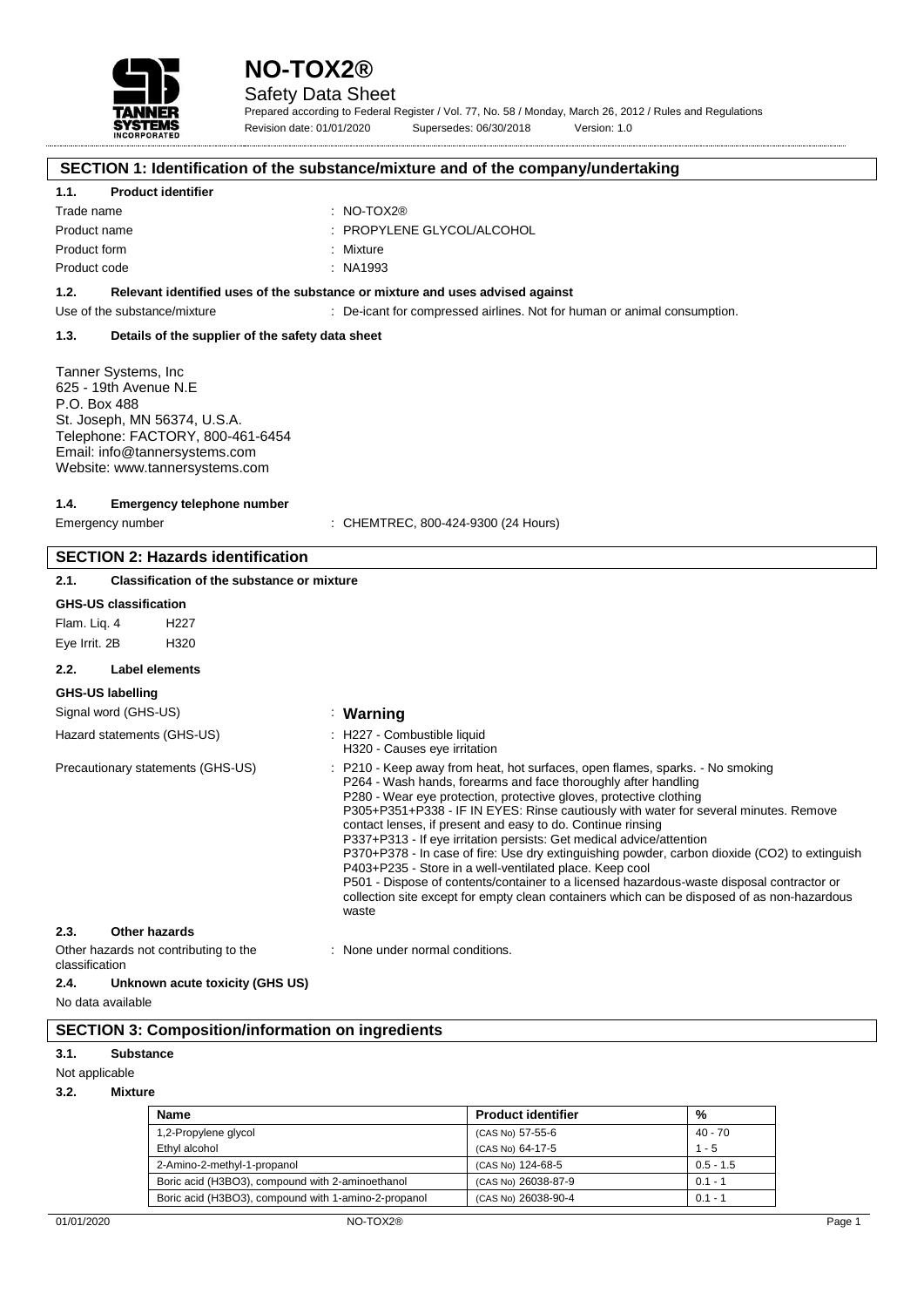



## Safety Data Sheet

Prepared according to Federal Register / Vol. 77, No. 58 / Monday, March 26, 2012 / Rules and Regulations Revision date: 01/01/2020 Supersedes: 06/30/2018 Version: 1.0

# **SECTION 1: Identification of the substance/mixture and of the company/undertaking**

### **1.1. Product identifier**

| Trade name   | : NO-TOX2 $@$              |
|--------------|----------------------------|
| Product name | : PROPYLENE GLYCOL/ALCOHOL |
| Product form | : Mixture                  |
| Product code | : NA1993                   |

#### **1.2. Relevant identified uses of the substance or mixture and uses advised against**

Use of the substance/mixture : De-icant for compressed airlines. Not for human or animal consumption.

#### **1.3. Details of the supplier of the safety data sheet**

Tanner Systems, Inc 625 - 19th Avenue N.E P.O. Box 488 St. Joseph, MN 56374, U.S.A. Telephone: FACTORY, 800-461-6454 Email: info@tannersystems.com Website: www.tannersystems.com

#### **1.4. Emergency telephone number**

Emergency number  $\qquad \qquad : \qquad \qquad$  CHEMTREC, 800-424-9300 (24 Hours)

# **SECTION 2: Hazards identification**

**2.1. Classification of the substance or mixture**

# **GHS-US classification**

Flam. Liq. 4 H227 Eye Irrit. 2B H320

## **2.2. Label elements**

#### **GHS-US labelling**

# Signal word (GHS-US) : **Warning**

| Hazard statements (GHS-US)                                                                                                                                                                                                    | : H227 - Combustible liquid<br>H320 - Causes eye irritation                                                                                                                                                                                                                                                                                                                                                                                                                                                                                                                                                                                                                                                                                                                                                           |
|-------------------------------------------------------------------------------------------------------------------------------------------------------------------------------------------------------------------------------|-----------------------------------------------------------------------------------------------------------------------------------------------------------------------------------------------------------------------------------------------------------------------------------------------------------------------------------------------------------------------------------------------------------------------------------------------------------------------------------------------------------------------------------------------------------------------------------------------------------------------------------------------------------------------------------------------------------------------------------------------------------------------------------------------------------------------|
| Precautionary statements (GHS-US)                                                                                                                                                                                             | : P210 - Keep away from heat, hot surfaces, open flames, sparks. - No smoking<br>P264 - Wash hands, forearms and face thoroughly after handling<br>P280 - Wear eye protection, protective gloves, protective clothing<br>P305+P351+P338 - IF IN EYES: Rinse cautiously with water for several minutes. Remove<br>contact lenses, if present and easy to do. Continue rinsing<br>P337+P313 - If eye irritation persists: Get medical advice/attention<br>P370+P378 - In case of fire: Use dry extinguishing powder, carbon dioxide (CO2) to extinguish<br>P403+P235 - Store in a well-ventilated place. Keep cool<br>P501 - Dispose of contents/container to a licensed hazardous-waste disposal contractor or<br>collection site except for empty clean containers which can be disposed of as non-hazardous<br>waste |
| 2.3.<br>Other hazards                                                                                                                                                                                                         |                                                                                                                                                                                                                                                                                                                                                                                                                                                                                                                                                                                                                                                                                                                                                                                                                       |
| Additional to the model of the control of the control of the control of the control of the control of the control of the control of the control of the control of the control of the control of the control of the control of | a di Malaysia di Santa Malaysia na matangan di Malaysia ng Kabupatèn Kabupatèn Kabupatèn Kabupatèn Kabupatèn K                                                                                                                                                                                                                                                                                                                                                                                                                                                                                                                                                                                                                                                                                                        |

| Other hazards not contributing to the |                                 |  | : None under normal conditions. |
|---------------------------------------|---------------------------------|--|---------------------------------|
| classification                        |                                 |  |                                 |
| 2.4.                                  | Unknown acute toxicity (GHS US) |  |                                 |

No data available

# **SECTION 3: Composition/information on ingredients**

### **3.1. Substance**

| Not applicable |
|----------------|
|----------------|

**3.2. Mixture**

| <b>Name</b>                                          | <b>Product identifier</b> | %           |
|------------------------------------------------------|---------------------------|-------------|
| 1,2-Propylene glycol                                 | (CAS No) 57-55-6          | $40 - 70$   |
| Ethyl alcohol                                        | (CAS No) 64-17-5          | $1 - 5$     |
| 2-Amino-2-methyl-1-propanol                          | (CAS No) 124-68-5         | $0.5 - 1.5$ |
| Boric acid (H3BO3), compound with 2-aminoethanol     | (CAS No) 26038-87-9       | $0.1 - 1$   |
| Boric acid (H3BO3), compound with 1-amino-2-propanol | (CAS No) 26038-90-4       | $0.1 - 1$   |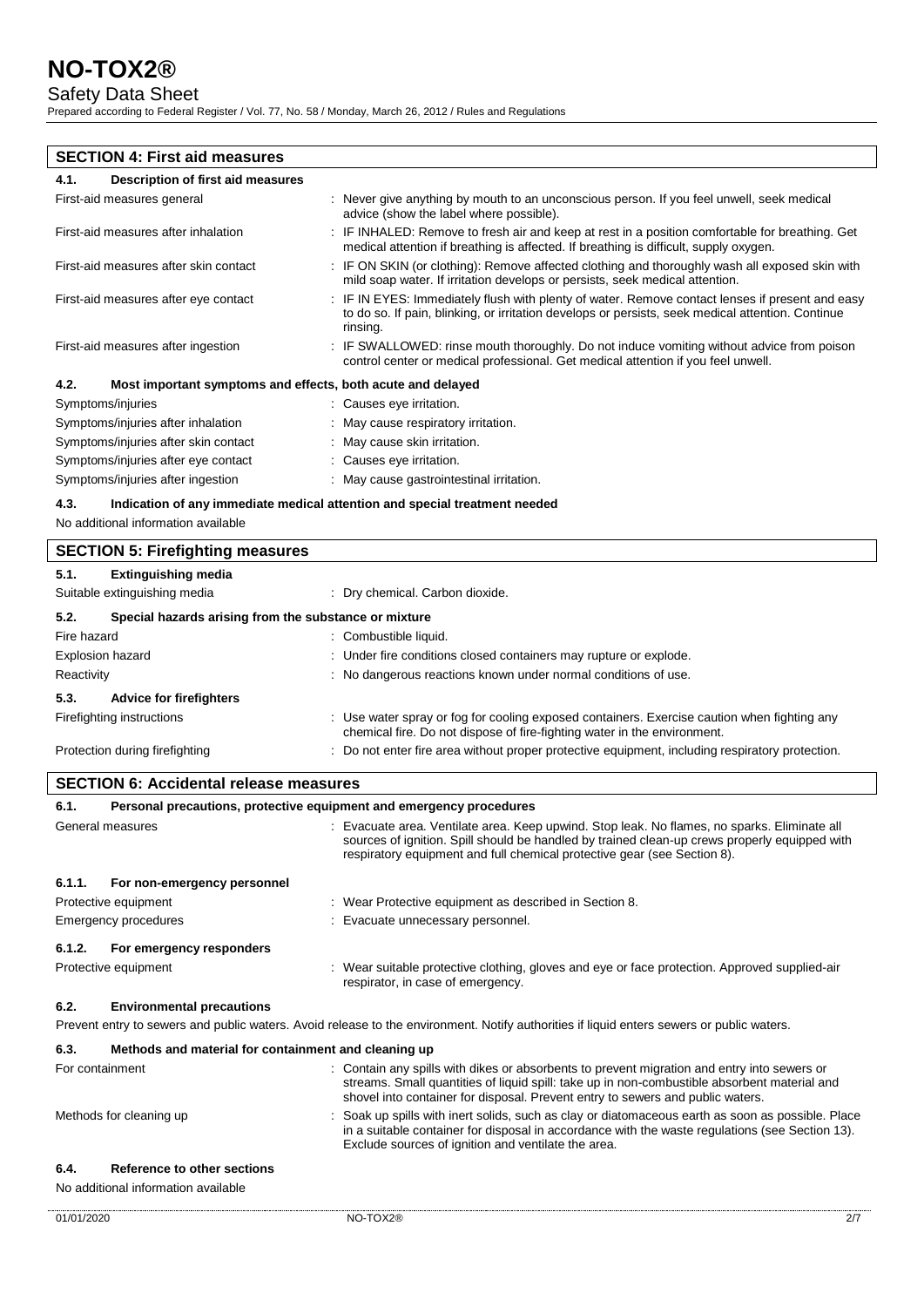# Safety Data Sheet

Prepared according to Federal Register / Vol. 77, No. 58 / Monday, March 26, 2012 / Rules and Regulations

# **SECTION 4: First aid measures 4.1. Description of first aid measures** First-aid measures general **interpretatal in the angle of the state of the state of the state of the state of the state of the state of the state of the state of the state of the state of the state of the state of the stat** advice (show the label where possible). First-aid measures after inhalation : IF INHALED: Remove to fresh air and keep at rest in a position comfortable for breathing. Get medical attention if breathing is affected. If breathing is difficult, supply oxygen. First-aid measures after skin contact : IF ON SKIN (or clothing): Remove affected clothing and thoroughly wash all exposed skin with mild soap water. If irritation develops or persists, seek medical attention. First-aid measures after eye contact : IF IN EYES: Immediately flush with plenty of water. Remove contact lenses if present and easy to do so. If pain, blinking, or irritation develops or persists, seek medical attention. Continue rinsing. First-aid measures after ingestion : IF SWALLOWED: rinse mouth thoroughly. Do not induce vomiting without advice from poison control center or medical professional. Get medical attention if you feel unwell. **4.2. Most important symptoms and effects, both acute and delayed** Symptoms/injuries : Causes eye irritation. Symptoms/injuries after inhalation : May cause respiratory irritation. Symptoms/injuries after skin contact : May cause skin irritation. Symptoms/injuries after eye contact : Causes eye irritation. Symptoms/injuries after ingestion : May cause gastrointestinal irritation. **4.3. Indication of any immediate medical attention and special treatment needed** No additional information available **SECTION 5: Firefighting measures 5.1. Extinguishing media** Suitable extinguishing media : Dry chemical. Carbon dioxide. **5.2. Special hazards arising from the substance or mixture** Fire hazard : Combustible liquid.

| File Hazalu                            | . Compusible nuulu.                                                                                                                                                   |
|----------------------------------------|-----------------------------------------------------------------------------------------------------------------------------------------------------------------------|
| <b>Explosion hazard</b>                | : Under fire conditions closed containers may rupture or explode.                                                                                                     |
| Reactivity                             | : No dangerous reactions known under normal conditions of use.                                                                                                        |
| <b>Advice for firefighters</b><br>5.3. |                                                                                                                                                                       |
| Firefighting instructions              | Use water spray or fog for cooling exposed containers. Exercise caution when fighting any<br>chemical fire. Do not dispose of fire-fighting water in the environment. |
| Protection during firefighting         | : Do not enter fire area without proper protective equipment, including respiratory protection.                                                                       |

## **SECTION 6: Accidental release measures**

| 6.1.                                                                                                                                      | Personal precautions, protective equipment and emergency procedures |                                                                                                                                                                                                                                                                               |  |
|-------------------------------------------------------------------------------------------------------------------------------------------|---------------------------------------------------------------------|-------------------------------------------------------------------------------------------------------------------------------------------------------------------------------------------------------------------------------------------------------------------------------|--|
|                                                                                                                                           | General measures                                                    | : Evacuate area. Ventilate area. Keep upwind. Stop leak. No flames, no sparks. Eliminate all<br>sources of ignition. Spill should be handled by trained clean-up crews properly equipped with<br>respiratory equipment and full chemical protective gear (see Section 8).     |  |
| 6.1.1.                                                                                                                                    | For non-emergency personnel                                         |                                                                                                                                                                                                                                                                               |  |
| Protective equipment<br>: Wear Protective equipment as described in Section 8.                                                            |                                                                     |                                                                                                                                                                                                                                                                               |  |
| Emergency procedures<br>: Evacuate unnecessary personnel.                                                                                 |                                                                     |                                                                                                                                                                                                                                                                               |  |
| 6.1.2.                                                                                                                                    | For emergency responders                                            |                                                                                                                                                                                                                                                                               |  |
|                                                                                                                                           | Protective equipment                                                | : Wear suitable protective clothing, gloves and eye or face protection. Approved supplied-air<br>respirator, in case of emergency.                                                                                                                                            |  |
| 6.2.                                                                                                                                      | <b>Environmental precautions</b>                                    |                                                                                                                                                                                                                                                                               |  |
| Prevent entry to sewers and public waters. Avoid release to the environment. Notify authorities if liquid enters sewers or public waters. |                                                                     |                                                                                                                                                                                                                                                                               |  |
| 6.3.                                                                                                                                      | Methods and material for containment and cleaning up                |                                                                                                                                                                                                                                                                               |  |
| For containment                                                                                                                           |                                                                     | : Contain any spills with dikes or absorbents to prevent migration and entry into sewers or<br>streams. Small quantities of liquid spill: take up in non-combustible absorbent material and<br>shovel into container for disposal. Prevent entry to sewers and public waters. |  |

Exclude sources of ignition and ventilate the area.

in a suitable container for disposal in accordance with the waste regulations (see Section 13).

Methods for cleaning up example of the spills with inert solids, such as clay or diatomaceous earth as soon as possible. Place

### **6.4. Reference to other sections**

### No additional information available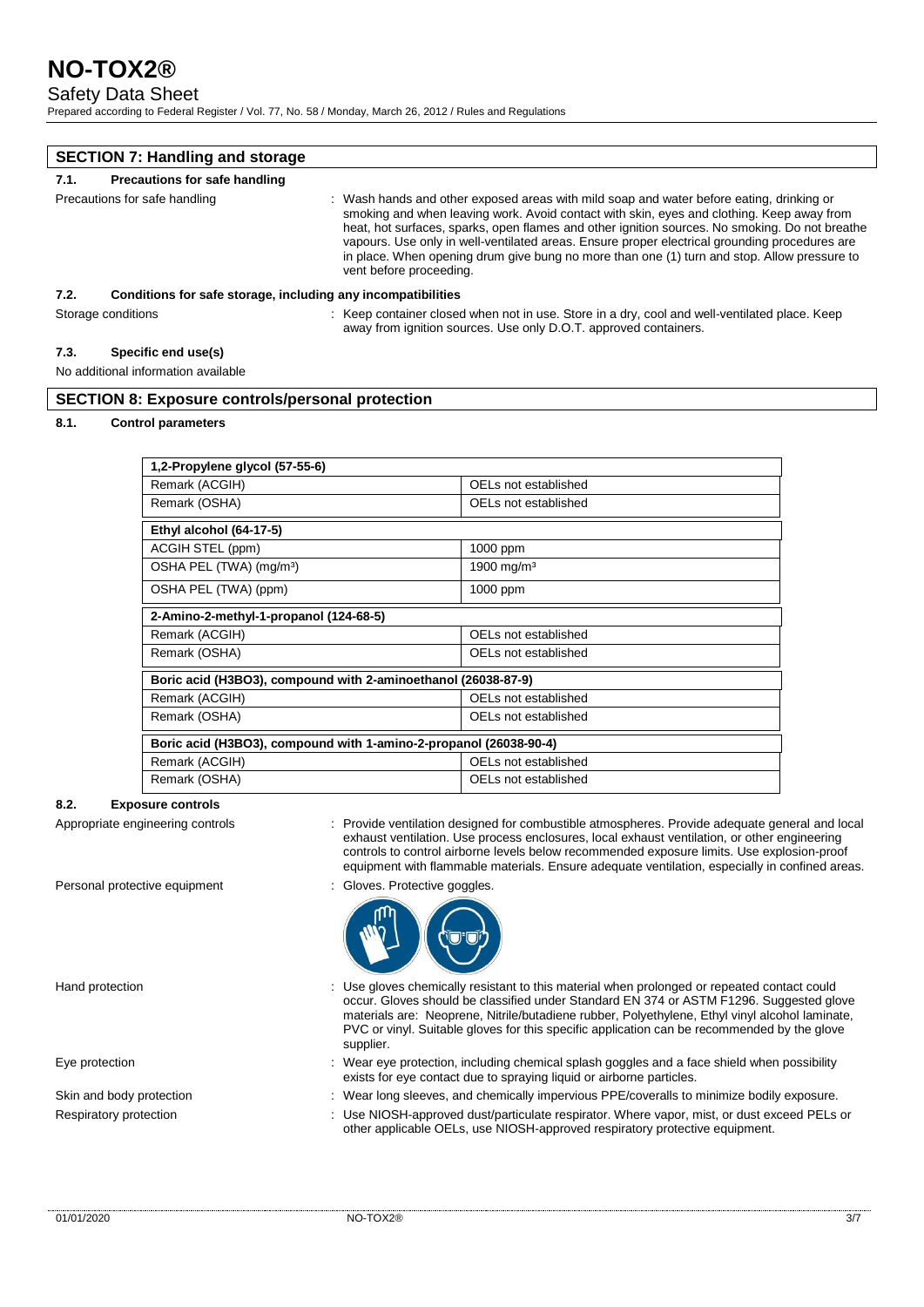## Safety Data Sheet

Prepared according to Federal Register / Vol. 77, No. 58 / Monday, March 26, 2012 / Rules and Regulations

| <b>SECTION 7: Handling and storage</b> |                                                              |                                                                                                                                                                                                                                                                                                                                                                                                                                                                                                                    |
|----------------------------------------|--------------------------------------------------------------|--------------------------------------------------------------------------------------------------------------------------------------------------------------------------------------------------------------------------------------------------------------------------------------------------------------------------------------------------------------------------------------------------------------------------------------------------------------------------------------------------------------------|
| 7.1.                                   | Precautions for safe handling                                |                                                                                                                                                                                                                                                                                                                                                                                                                                                                                                                    |
| Precautions for safe handling          |                                                              | : Wash hands and other exposed areas with mild soap and water before eating, drinking or<br>smoking and when leaving work. Avoid contact with skin, eyes and clothing. Keep away from<br>heat, hot surfaces, sparks, open flames and other ignition sources. No smoking. Do not breathe<br>vapours. Use only in well-ventilated areas. Ensure proper electrical grounding procedures are<br>in place. When opening drum give bung no more than one (1) turn and stop. Allow pressure to<br>vent before proceeding. |
| 7.2.                                   | Conditions for safe storage, including any incompatibilities |                                                                                                                                                                                                                                                                                                                                                                                                                                                                                                                    |
|                                        | Storage conditions                                           | : Keep container closed when not in use. Store in a dry, cool and well-ventilated place. Keep<br>away from ignition sources. Use only D.O.T. approved containers.                                                                                                                                                                                                                                                                                                                                                  |

#### **7.3. Specific end use(s)**

#### No additional information available

## **SECTION 8: Exposure controls/personal protection**

#### **8.1. Control parameters**

| 1,2-Propylene glycol (57-55-6)                                    |                        |  |
|-------------------------------------------------------------------|------------------------|--|
| Remark (ACGIH)                                                    | OELs not established   |  |
| Remark (OSHA)                                                     | OELs not established   |  |
| Ethyl alcohol (64-17-5)                                           |                        |  |
| ACGIH STEL (ppm)                                                  | $1000$ ppm             |  |
| OSHA PEL (TWA) (mg/m <sup>3</sup> )                               | 1900 mg/m <sup>3</sup> |  |
| OSHA PEL (TWA) (ppm)                                              | 1000 ppm               |  |
| 2-Amino-2-methyl-1-propanol (124-68-5)                            |                        |  |
| Remark (ACGIH)                                                    | OELs not established   |  |
| Remark (OSHA)                                                     | OELs not established   |  |
| Boric acid (H3BO3), compound with 2-aminoethanol (26038-87-9)     |                        |  |
| Remark (ACGIH)                                                    | OELs not established   |  |
| Remark (OSHA)                                                     | OELs not established   |  |
| Boric acid (H3BO3), compound with 1-amino-2-propanol (26038-90-4) |                        |  |
| Remark (ACGIH)                                                    | OELs not established   |  |
| Remark (OSHA)                                                     | OELs not established   |  |

#### **8.2. Exposure controls**

- Appropriate engineering controls : Provide ventilation designed for combustible atmospheres. Provide adequate general and local exhaust ventilation. Use process enclosures, local exhaust ventilation, or other engineering controls to control airborne levels below recommended exposure limits. Use explosion-proof equipment with flammable materials. Ensure adequate ventilation, especially in confined areas.
- Personal protective equipment : Gloves. Protective goggles



- Hand protection **interval of the USE gloves chemically resistant to this material when prolonged or repeated contact could** occur. Gloves should be classified under Standard EN 374 or ASTM F1296. Suggested glove materials are: Neoprene, Nitrile/butadiene rubber, Polyethylene, Ethyl vinyl alcohol laminate, PVC or vinyl. Suitable gloves for this specific application can be recommended by the glove supplier.
- Eye protection states of the state of the wear eye protection, including chemical splash goggles and a face shield when possibility exists for eye contact due to spraying liquid or airborne particles.
- Skin and body protection : Wear long sleeves, and chemically impervious PPE/coveralls to minimize bodily exposure.
- Respiratory protection : Use NIOSH-approved dust/particulate respirator. Where vapor, mist, or dust exceed PELs or other applicable OELs, use NIOSH-approved respiratory protective equipment.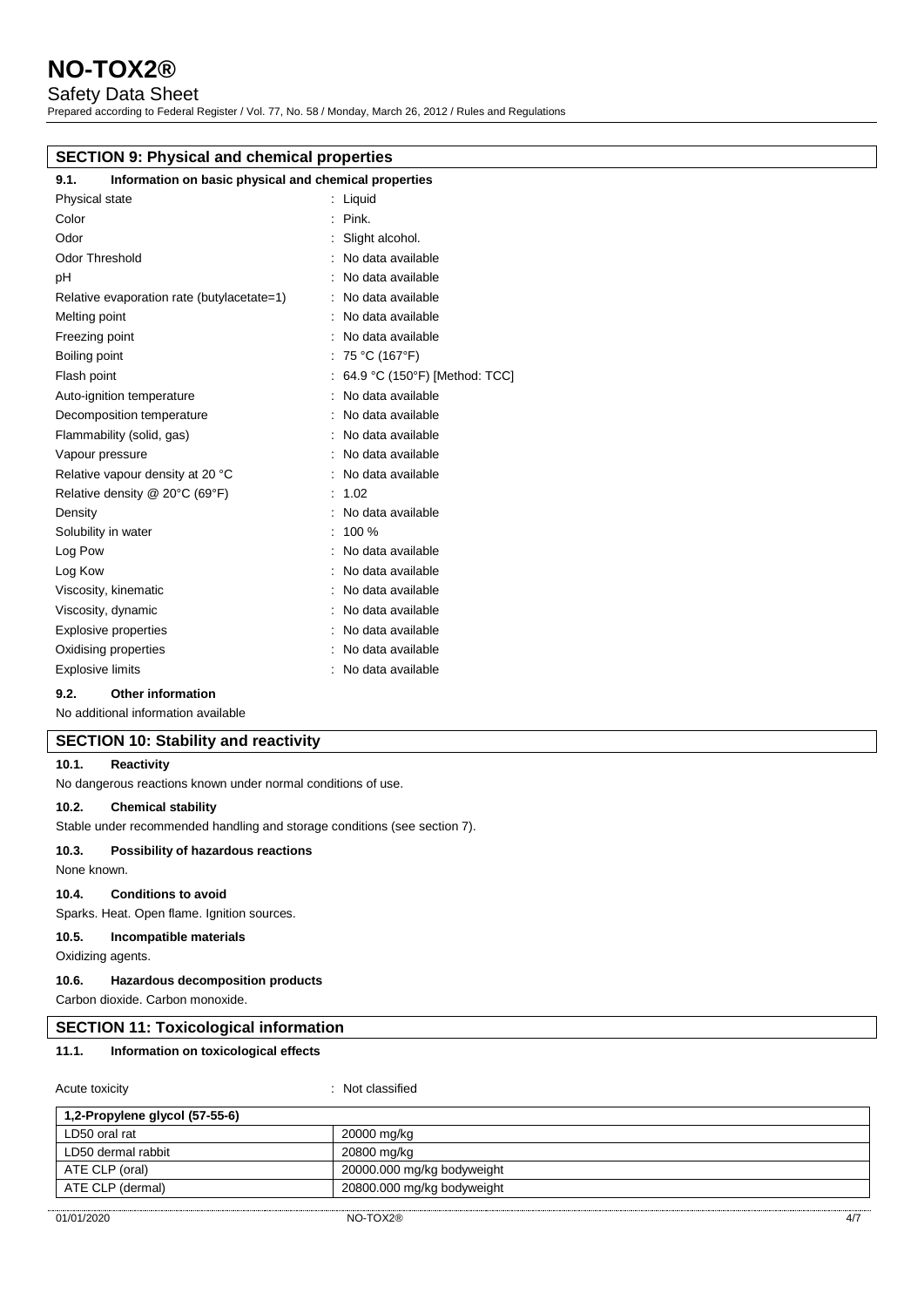## Safety Data Sheet

Prepared according to Federal Register / Vol. 77, No. 58 / Monday, March 26, 2012 / Rules and Regulations

| <b>SECTION 9: Physical and chemical properties</b>            |                                 |  |  |
|---------------------------------------------------------------|---------------------------------|--|--|
| Information on basic physical and chemical properties<br>9.1. |                                 |  |  |
| Physical state                                                | $:$ Liquid                      |  |  |
| Color                                                         | Pink.                           |  |  |
| Odor                                                          | Slight alcohol.                 |  |  |
| <b>Odor Threshold</b>                                         | No data available               |  |  |
| pH                                                            | : No data available             |  |  |
| Relative evaporation rate (butylacetate=1)                    | : No data available             |  |  |
| Melting point                                                 | : No data available             |  |  |
| Freezing point                                                | : No data available             |  |  |
| Boiling point                                                 | : 75 °C (167°F)                 |  |  |
| Flash point                                                   | : 64.9 °C (150°F) [Method: TCC] |  |  |
| Auto-ignition temperature                                     | : No data available             |  |  |
| Decomposition temperature                                     | : No data available             |  |  |
| Flammability (solid, gas)                                     | : No data available             |  |  |
| Vapour pressure                                               | : No data available             |  |  |
| Relative vapour density at 20 °C                              | : No data available             |  |  |
| Relative density @ 20°C (69°F)                                | : 1.02                          |  |  |
| Density                                                       | : No data available             |  |  |
| Solubility in water                                           | $: 100 \%$                      |  |  |
| Log Pow                                                       | : No data available             |  |  |
| Log Kow                                                       | : No data available             |  |  |
| Viscosity, kinematic                                          | No data available               |  |  |
| Viscosity, dynamic                                            | : No data available             |  |  |

**9.2. Other information**

No additional information available

# **SECTION 10: Stability and reactivity**

#### **10.1. Reactivity**

No dangerous reactions known under normal conditions of use.

Explosive properties **in the set of the COV** and the September 1 and the September 2 and the September 2 and the September 2 and the September 2 and the September 2 and the September 2 and the September 2 and the September Oxidising properties **in the Community Community** Contract and Community Community Community Community Community Explosive limits **Explosive Limits Explosive Limits Explosive Limits EXPLOSIVE 2** 

## **10.2. Chemical stability**

Stable under recommended handling and storage conditions (see section 7).

#### **10.3. Possibility of hazardous reactions**

None known.

### **10.4. Conditions to avoid**

Sparks. Heat. Open flame. Ignition sources.

#### **10.5. Incompatible materials**

Oxidizing agents.

#### **10.6. Hazardous decomposition products**

Carbon dioxide. Carbon monoxide.

### **SECTION 11: Toxicological information**

### **11.1. Information on toxicological effects**

| Acute toxicity                 | : Not classified           |
|--------------------------------|----------------------------|
| 1,2-Propylene glycol (57-55-6) |                            |
| LD50 oral rat                  | 20000 mg/kg                |
| LD50 dermal rabbit             | 20800 mg/kg                |
| ATE CLP (oral)                 | 20000.000 mg/kg bodyweight |
| ATE CLP (dermal)               | 20800.000 mg/kg bodyweight |
|                                |                            |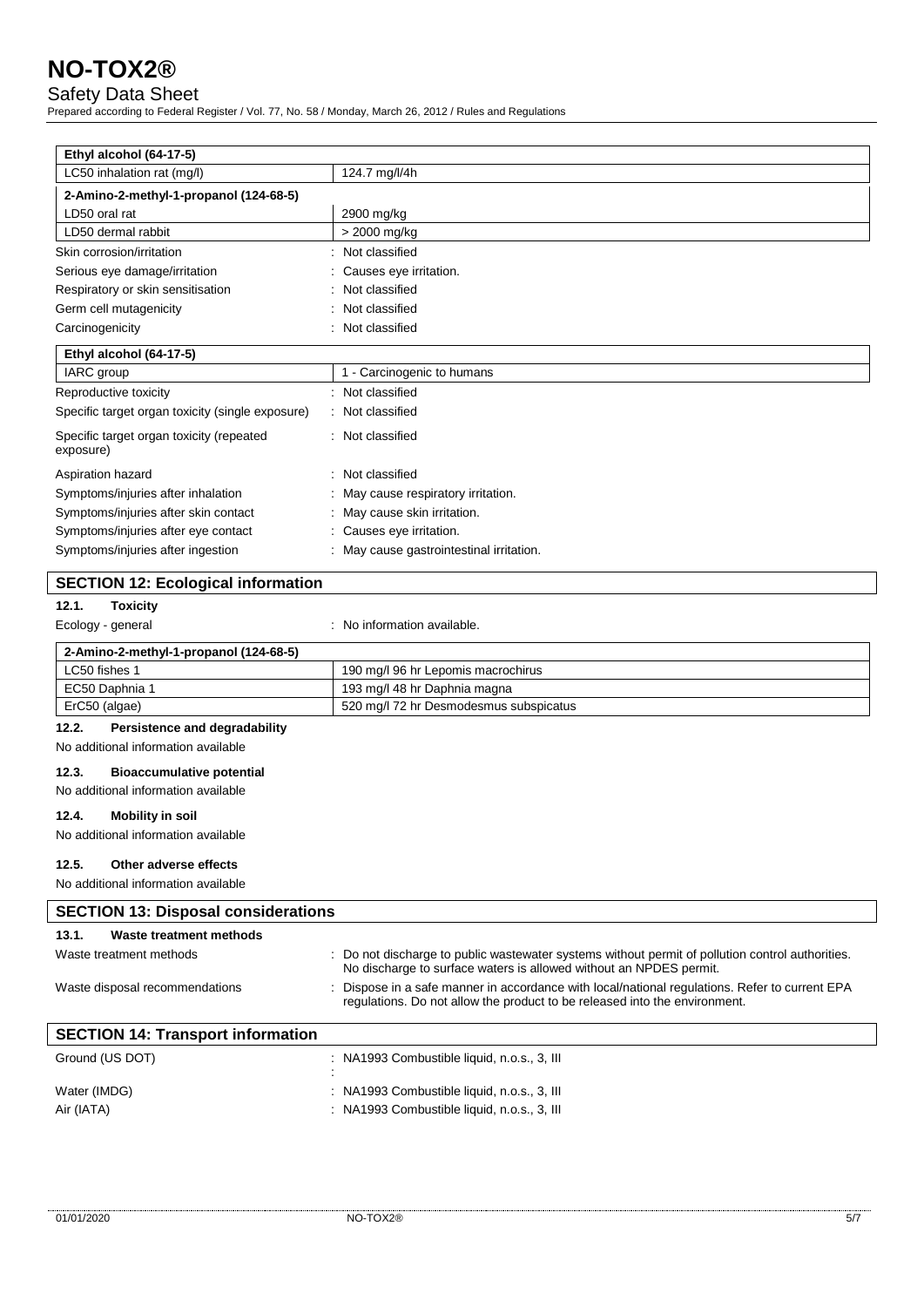Safety Data Sheet

Prepared according to Federal Register / Vol. 77, No. 58 / Monday, March 26, 2012 / Rules and Regulations

| Ethyl alcohol (64-17-5)                               |                                        |
|-------------------------------------------------------|----------------------------------------|
| LC50 inhalation rat (mg/l)                            | 124.7 mg/l/4h                          |
| 2-Amino-2-methyl-1-propanol (124-68-5)                |                                        |
| LD50 oral rat                                         | 2900 mg/kg                             |
| LD50 dermal rabbit                                    | > 2000 mg/kg                           |
| Skin corrosion/irritation                             | Not classified                         |
| Serious eye damage/irritation                         | Causes eye irritation.                 |
| Respiratory or skin sensitisation                     | Not classified                         |
| Germ cell mutagenicity                                | Not classified                         |
| Carcinogenicity                                       | Not classified                         |
| Ethyl alcohol (64-17-5)                               |                                        |
| IARC group                                            | 1 - Carcinogenic to humans             |
| Reproductive toxicity                                 | : Not classified                       |
| Specific target organ toxicity (single exposure)      | : Not classified                       |
| Specific target organ toxicity (repeated<br>exposure) | : Not classified                       |
| Aspiration hazard                                     | Not classified                         |
| Symptoms/injuries after inhalation                    | May cause respiratory irritation.      |
| Symptoms/injuries after skin contact                  | May cause skin irritation.             |
| Symptoms/injuries after eye contact                   | Causes eye irritation.                 |
| Symptoms/injuries after ingestion                     | May cause gastrointestinal irritation. |

# **SECTION 12: Ecological information**

# **12.1. Toxicity**

Ecology - general intervals and the cology - general intervals and the cology -  $\sim$  No information available.

| 2-Amino-2-methyl-1-propanol (124-68-5) |                                        |
|----------------------------------------|----------------------------------------|
| LC50 fishes 1                          | 190 mg/l 96 hr Lepomis macrochirus     |
| EC50 Daphnia 1                         | 193 mg/l 48 hr Daphnia magna           |
| ErC50 (algae)                          | 520 mg/l 72 hr Desmodesmus subspicatus |

#### **12.2. Persistence and degradability**

No additional information available

## **12.3. Bioaccumulative potential**

No additional information available

## **12.4. Mobility in soil**

No additional information available

## **12.5. Other adverse effects**

No additional information available

| <b>SECTION 13: Disposal considerations</b> |                                                                                                                                                                              |
|--------------------------------------------|------------------------------------------------------------------------------------------------------------------------------------------------------------------------------|
| Waste treatment methods<br>13.1.           |                                                                                                                                                                              |
| Waste treatment methods                    | : Do not discharge to public wastewater systems without permit of pollution control authorities.<br>No discharge to surface waters is allowed without an NPDES permit.       |
| Waste disposal recommendations             | : Dispose in a safe manner in accordance with local/national regulations. Refer to current EPA<br>requlations. Do not allow the product to be released into the environment. |
| <b>SECTION 14: Transport information</b>   |                                                                                                                                                                              |
| Ground (US DOT)                            | : NA1993 Combustible liquid, n.o.s., 3, III                                                                                                                                  |
| Water (IMDG)                               | : NA1993 Combustible liquid, n.o.s., 3, Ill                                                                                                                                  |
| Air (IATA)                                 | : NA1993 Combustible liquid, n.o.s., 3, III                                                                                                                                  |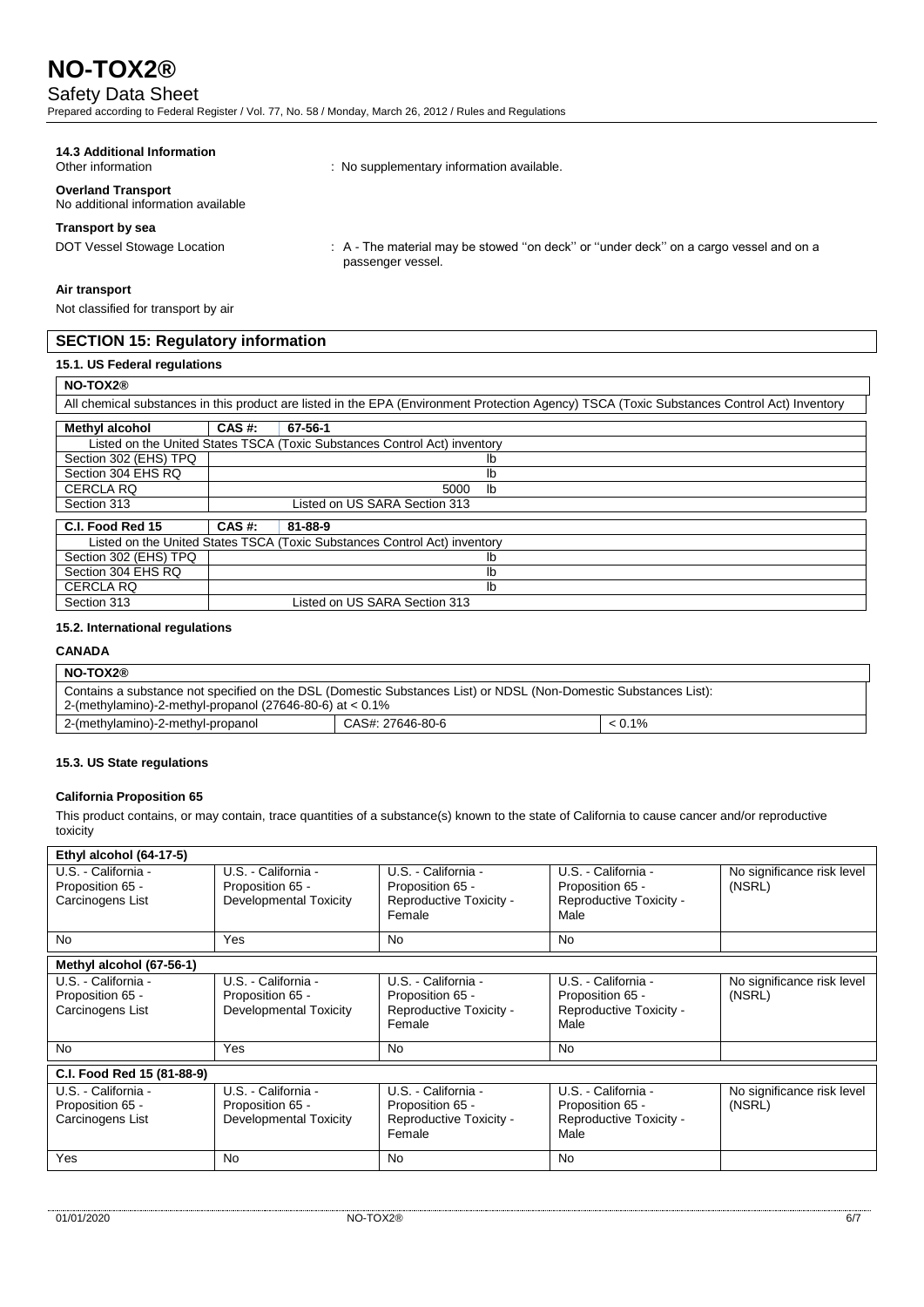# Safety Data Sheet

Prepared according to Federal Register / Vol. 77, No. 58 / Monday, March 26, 2012 / Rules and Regulations

# **14.3 Additional Information**

**Overland Transport**

No additional information available

## **Transport by sea**

DOT Vessel Stowage Location : A - The material may be stowed "on deck" or "under deck" on a cargo vessel and on a passenger vessel.

#### **Air transport**

Not classified for transport by air

## **SECTION 15: Regulatory information**

## **15.1. US Federal regulations**

# **NO-TOX2®**

| All chemical substances in this product are listed in the EPA (Environment Protection Agency) TSCA (Toxic Substances Control Act) Inventory |                               |                                                                           |
|---------------------------------------------------------------------------------------------------------------------------------------------|-------------------------------|---------------------------------------------------------------------------|
| <b>Methyl alcohol</b>                                                                                                                       | CAS #:                        | 67-56-1                                                                   |
|                                                                                                                                             |                               | Listed on the United States TSCA (Toxic Substances Control Act) inventory |
| Section 302 (EHS) TPQ                                                                                                                       |                               | lb                                                                        |
| Section 304 EHS RQ                                                                                                                          |                               | lb                                                                        |
| <b>CERCLA RQ</b>                                                                                                                            | lb<br>5000                    |                                                                           |
| Section 313                                                                                                                                 | Listed on US SARA Section 313 |                                                                           |
| C.I. Food Red 15                                                                                                                            | CAS #:                        | 81-88-9                                                                   |
|                                                                                                                                             |                               | Listed on the United States TSCA (Toxic Substances Control Act) inventory |
| Section 302 (EHS) TPQ                                                                                                                       |                               | lb                                                                        |
| Section 304 EHS RO                                                                                                                          | lb                            |                                                                           |
| <b>CERCLA RQ</b>                                                                                                                            |                               | lb                                                                        |
| Section 313                                                                                                                                 |                               | Listed on US SARA Section 313                                             |

: No supplementary information available.

#### **15.2. International regulations**

# **CANADA**

| NO-TOX2®                                                                                                         |                  |           |
|------------------------------------------------------------------------------------------------------------------|------------------|-----------|
| Contains a substance not specified on the DSL (Domestic Substances List) or NDSL (Non-Domestic Substances List): |                  |           |
| 2-(methylamino)-2-methyl-propanol (27646-80-6) at $< 0.1\%$                                                      |                  |           |
| 2-(methylamino)-2-methyl-propanol                                                                                | CAS#: 27646-80-6 | $< 0.1\%$ |

#### **15.3. US State regulations**

#### **California Proposition 65**

This product contains, or may contain, trace quantities of a substance(s) known to the state of California to cause cancer and/or reproductive toxicity

| Ethyl alcohol (64-17-5)                                     |                                                                          |                                                                              |                                                                            |                                      |
|-------------------------------------------------------------|--------------------------------------------------------------------------|------------------------------------------------------------------------------|----------------------------------------------------------------------------|--------------------------------------|
| U.S. - California -<br>Proposition 65 -<br>Carcinogens List | U.S. - California -<br>Proposition 65 -<br><b>Developmental Toxicity</b> | U.S. - California -<br>Proposition 65 -<br>Reproductive Toxicity -<br>Female | U.S. - California -<br>Proposition 65 -<br>Reproductive Toxicity -<br>Male | No significance risk level<br>(NSRL) |
| <b>No</b>                                                   | Yes                                                                      | <b>No</b>                                                                    | <b>No</b>                                                                  |                                      |
| Methyl alcohol (67-56-1)                                    |                                                                          |                                                                              |                                                                            |                                      |
| U.S. - California -<br>Proposition 65 -<br>Carcinogens List | U.S. - California -<br>Proposition 65 -<br>Developmental Toxicity        | U.S. - California -<br>Proposition 65 -<br>Reproductive Toxicity -<br>Female | U.S. - California -<br>Proposition 65 -<br>Reproductive Toxicity -<br>Male | No significance risk level<br>(NSRL) |
| <b>No</b>                                                   | Yes                                                                      | No                                                                           | <b>No</b>                                                                  |                                      |
| C.I. Food Red 15 (81-88-9)                                  |                                                                          |                                                                              |                                                                            |                                      |
| U.S. - California -<br>Proposition 65 -<br>Carcinogens List | U.S. California -<br>Proposition 65 -<br>Developmental Toxicity          | U.S. - California -<br>Proposition 65 -<br>Reproductive Toxicity -<br>Female | U.S. California -<br>Proposition 65 -<br>Reproductive Toxicity -<br>Male   | No significance risk level<br>(NSRL) |
| Yes                                                         | No.                                                                      | <b>No</b>                                                                    | <b>No</b>                                                                  |                                      |